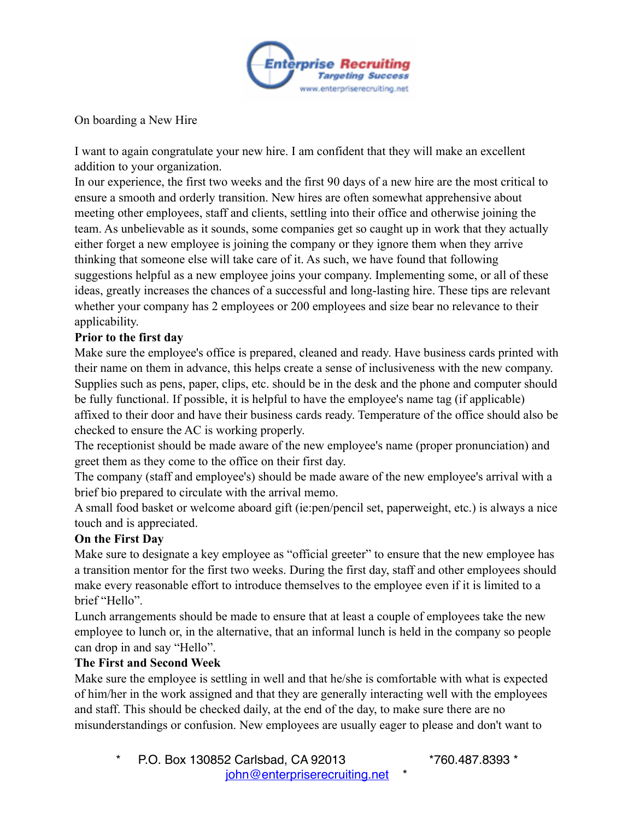

On boarding a New Hire

I want to again congratulate your new hire. I am confident that they will make an excellent addition to your organization.

In our experience, the first two weeks and the first 90 days of a new hire are the most critical to ensure a smooth and orderly transition. New hires are often somewhat apprehensive about meeting other employees, staff and clients, settling into their office and otherwise joining the team. As unbelievable as it sounds, some companies get so caught up in work that they actually either forget a new employee is joining the company or they ignore them when they arrive thinking that someone else will take care of it. As such, we have found that following suggestions helpful as a new employee joins your company. Implementing some, or all of these ideas, greatly increases the chances of a successful and long-lasting hire. These tips are relevant whether your company has 2 employees or 200 employees and size bear no relevance to their applicability.

## **Prior to the first day**

Make sure the employee's office is prepared, cleaned and ready. Have business cards printed with their name on them in advance, this helps create a sense of inclusiveness with the new company. Supplies such as pens, paper, clips, etc. should be in the desk and the phone and computer should be fully functional. If possible, it is helpful to have the employee's name tag (if applicable) affixed to their door and have their business cards ready. Temperature of the office should also be checked to ensure the AC is working properly.

The receptionist should be made aware of the new employee's name (proper pronunciation) and greet them as they come to the office on their first day.

The company (staff and employee's) should be made aware of the new employee's arrival with a brief bio prepared to circulate with the arrival memo.

A small food basket or welcome aboard gift (ie:pen/pencil set, paperweight, etc.) is always a nice touch and is appreciated.

## **On the First Day**

Make sure to designate a key employee as "official greeter" to ensure that the new employee has a transition mentor for the first two weeks. During the first day, staff and other employees should make every reasonable effort to introduce themselves to the employee even if it is limited to a brief "Hello".

Lunch arrangements should be made to ensure that at least a couple of employees take the new employee to lunch or, in the alternative, that an informal lunch is held in the company so people can drop in and say "Hello".

## **The First and Second Week**

Make sure the employee is settling in well and that he/she is comfortable with what is expected of him/her in the work assigned and that they are generally interacting well with the employees and staff. This should be checked daily, at the end of the day, to make sure there are no misunderstandings or confusion. New employees are usually eager to please and don't want to

\* P.O. Box 130852 Carlsbad, CA 92013 \*760.487.8393 \* john@enterpriserecruiting.net